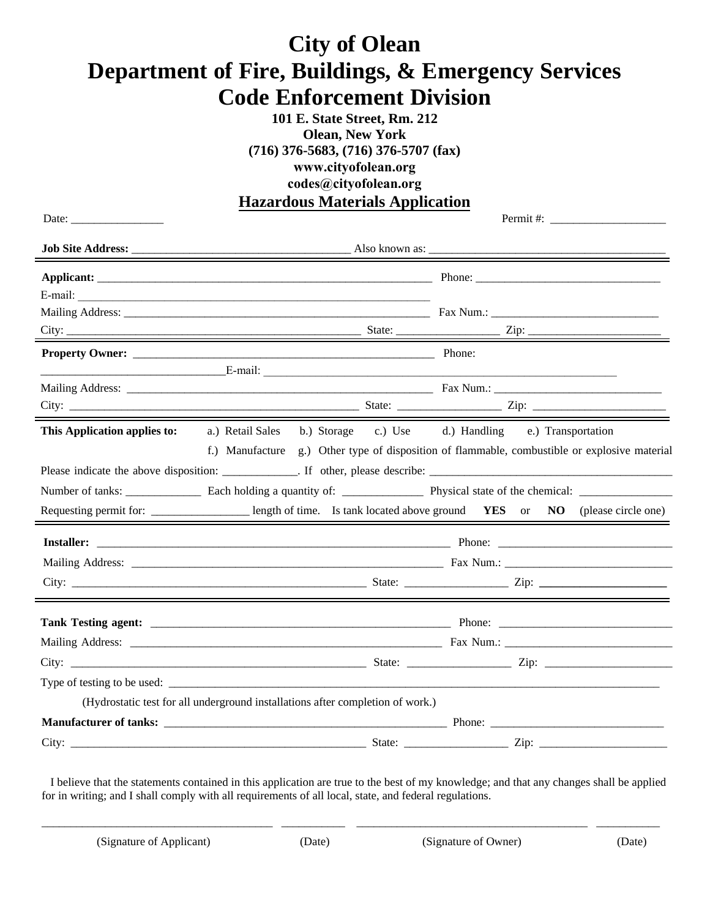## **City of Olean Department of Fire, Buildings, & Emergency Services Code Enforcement Division**

**101 E. State Street, Rm. 212 Olean, New York (716) 376-5683, (716) 376-5707 (fax) www.cityofolean.org codes@cityofolean.org Hazardous Materials Application**

| Date: $\frac{1}{\sqrt{1-\frac{1}{2}}\sqrt{1-\frac{1}{2}}\sqrt{1-\frac{1}{2}}\sqrt{1-\frac{1}{2}}\sqrt{1-\frac{1}{2}}\sqrt{1-\frac{1}{2}}\sqrt{1-\frac{1}{2}}\sqrt{1-\frac{1}{2}}\sqrt{1-\frac{1}{2}}\sqrt{1-\frac{1}{2}}\sqrt{1-\frac{1}{2}}\sqrt{1-\frac{1}{2}}\sqrt{1-\frac{1}{2}}\sqrt{1-\frac{1}{2}}\sqrt{1-\frac{1}{2}}\sqrt{1-\frac{1}{2}}\sqrt{1-\frac{1}{2}}\sqrt{1-\frac{1}{2}}\sqrt{1-\frac{1}{2}}$ |                                                                                                                         |  |
|---------------------------------------------------------------------------------------------------------------------------------------------------------------------------------------------------------------------------------------------------------------------------------------------------------------------------------------------------------------------------------------------------------------|-------------------------------------------------------------------------------------------------------------------------|--|
| <u> 1980 - Johann Stoff, deutscher Stoffen und der Stoffen und der Stoffen und der Stoffen und der Stoffen und der</u>                                                                                                                                                                                                                                                                                        |                                                                                                                         |  |
|                                                                                                                                                                                                                                                                                                                                                                                                               |                                                                                                                         |  |
|                                                                                                                                                                                                                                                                                                                                                                                                               | E-mail:                                                                                                                 |  |
|                                                                                                                                                                                                                                                                                                                                                                                                               |                                                                                                                         |  |
|                                                                                                                                                                                                                                                                                                                                                                                                               |                                                                                                                         |  |
|                                                                                                                                                                                                                                                                                                                                                                                                               | <b>Property Owner:</b> Phone:                                                                                           |  |
|                                                                                                                                                                                                                                                                                                                                                                                                               |                                                                                                                         |  |
|                                                                                                                                                                                                                                                                                                                                                                                                               |                                                                                                                         |  |
|                                                                                                                                                                                                                                                                                                                                                                                                               |                                                                                                                         |  |
| This Application applies to:                                                                                                                                                                                                                                                                                                                                                                                  | a.) Retail Sales b.) Storage c.) Use d.) Handling e.) Transportation                                                    |  |
|                                                                                                                                                                                                                                                                                                                                                                                                               | f.) Manufacture g.) Other type of disposition of flammable, combustible or explosive material                           |  |
|                                                                                                                                                                                                                                                                                                                                                                                                               |                                                                                                                         |  |
|                                                                                                                                                                                                                                                                                                                                                                                                               |                                                                                                                         |  |
|                                                                                                                                                                                                                                                                                                                                                                                                               | Requesting permit for: _____________________ length of time. Is tank located above ground YES or NO (please circle one) |  |
|                                                                                                                                                                                                                                                                                                                                                                                                               |                                                                                                                         |  |
|                                                                                                                                                                                                                                                                                                                                                                                                               |                                                                                                                         |  |
|                                                                                                                                                                                                                                                                                                                                                                                                               |                                                                                                                         |  |
|                                                                                                                                                                                                                                                                                                                                                                                                               |                                                                                                                         |  |
|                                                                                                                                                                                                                                                                                                                                                                                                               |                                                                                                                         |  |
|                                                                                                                                                                                                                                                                                                                                                                                                               |                                                                                                                         |  |
|                                                                                                                                                                                                                                                                                                                                                                                                               |                                                                                                                         |  |
|                                                                                                                                                                                                                                                                                                                                                                                                               | (Hydrostatic test for all underground installations after completion of work.)                                          |  |
|                                                                                                                                                                                                                                                                                                                                                                                                               |                                                                                                                         |  |
|                                                                                                                                                                                                                                                                                                                                                                                                               |                                                                                                                         |  |

I believe that the statements contained in this application are true to the best of my knowledge; and that any changes shall be applied for in writing; and I shall comply with all requirements of all local, state, and federal regulations.

\_\_\_\_\_\_\_\_\_\_\_\_\_\_\_\_\_\_\_\_\_\_\_\_\_\_\_\_\_\_\_\_\_\_\_\_\_\_\_\_ \_\_\_\_\_\_\_\_\_\_\_ \_\_\_\_\_\_\_\_\_\_\_\_\_\_\_\_\_\_\_\_\_\_\_\_\_\_\_\_\_\_\_\_\_\_\_\_\_\_\_\_ \_\_\_\_\_\_\_\_\_\_\_